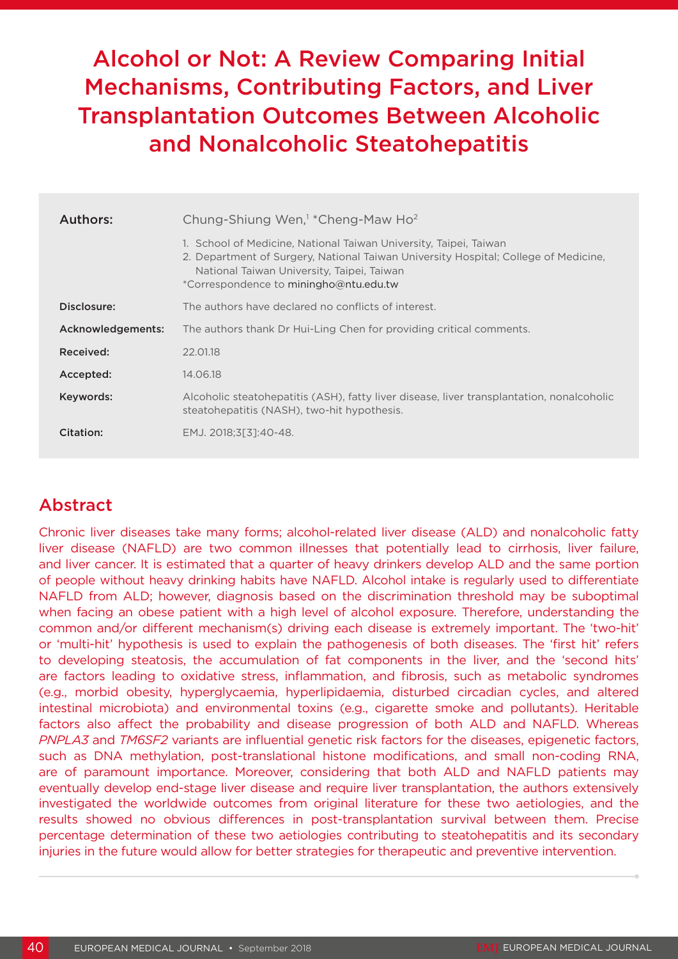# Alcohol or Not: A Review Comparing Initial Mechanisms, Contributing Factors, and Liver Transplantation Outcomes Between Alcoholic and Nonalcoholic Steatohepatitis

| Authors:          | Chung-Shiung Wen, <sup>1</sup> *Cheng-Maw Ho <sup>2</sup>                                                                                                                                                                                        |  |  |  |  |  |
|-------------------|--------------------------------------------------------------------------------------------------------------------------------------------------------------------------------------------------------------------------------------------------|--|--|--|--|--|
|                   | 1. School of Medicine, National Taiwan University, Taipei, Taiwan<br>2. Department of Surgery, National Taiwan University Hospital; College of Medicine,<br>National Taiwan University, Taipei, Taiwan<br>*Correspondence to miningho@ntu.edu.tw |  |  |  |  |  |
| Disclosure:       | The authors have declared no conflicts of interest.                                                                                                                                                                                              |  |  |  |  |  |
| Acknowledgements: | The authors thank Dr Hui-Ling Chen for providing critical comments.                                                                                                                                                                              |  |  |  |  |  |
| Received:         | 22.01.18                                                                                                                                                                                                                                         |  |  |  |  |  |
| Accepted:         | 14.06.18                                                                                                                                                                                                                                         |  |  |  |  |  |
| Keywords:         | Alcoholic steatohepatitis (ASH), fatty liver disease, liver transplantation, nonalcoholic<br>steatohepatitis (NASH), two-hit hypothesis.                                                                                                         |  |  |  |  |  |
| Citation:         | EMJ. 2018;3[3]:40-48.                                                                                                                                                                                                                            |  |  |  |  |  |

# Abstract

Chronic liver diseases take many forms; alcohol-related liver disease (ALD) and nonalcoholic fatty liver disease (NAFLD) are two common illnesses that potentially lead to cirrhosis, liver failure, and liver cancer. It is estimated that a quarter of heavy drinkers develop ALD and the same portion of people without heavy drinking habits have NAFLD. Alcohol intake is regularly used to differentiate NAFLD from ALD; however, diagnosis based on the discrimination threshold may be suboptimal when facing an obese patient with a high level of alcohol exposure. Therefore, understanding the common and/or different mechanism(s) driving each disease is extremely important. The 'two-hit' or 'multi-hit' hypothesis is used to explain the pathogenesis of both diseases. The 'first hit' refers to developing steatosis, the accumulation of fat components in the liver, and the 'second hits' are factors leading to oxidative stress, inflammation, and fibrosis, such as metabolic syndromes (e.g., morbid obesity, hyperglycaemia, hyperlipidaemia, disturbed circadian cycles, and altered intestinal microbiota) and environmental toxins (e.g., cigarette smoke and pollutants). Heritable factors also affect the probability and disease progression of both ALD and NAFLD. Whereas *PNPLA3* and *TM6SF2* variants are influential genetic risk factors for the diseases, epigenetic factors, such as DNA methylation, post-translational histone modifications, and small non-coding RNA, are of paramount importance. Moreover, considering that both ALD and NAFLD patients may eventually develop end-stage liver disease and require liver transplantation, the authors extensively investigated the worldwide outcomes from original literature for these two aetiologies, and the results showed no obvious differences in post-transplantation survival between them. Precise percentage determination of these two aetiologies contributing to steatohepatitis and its secondary injuries in the future would allow for better strategies for therapeutic and preventive intervention.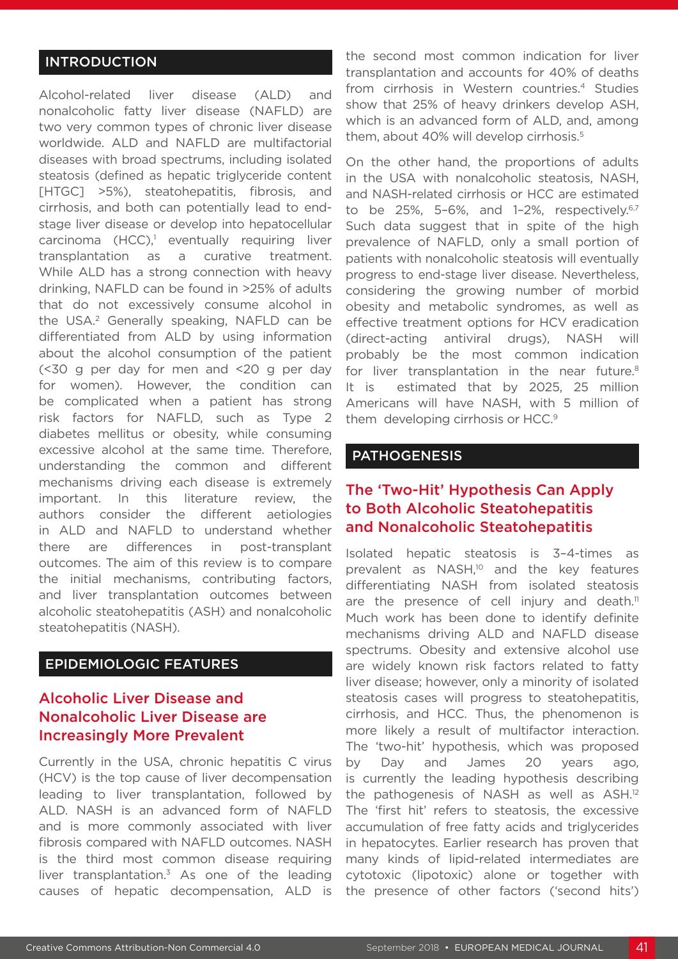#### INTRODUCTION

Alcohol-related liver disease (ALD) and nonalcoholic fatty liver disease (NAFLD) are two very common types of chronic liver disease worldwide. ALD and NAFLD are multifactorial diseases with broad spectrums, including isolated steatosis (defined as hepatic triglyceride content [HTGC] >5%), steatohepatitis, fibrosis, and cirrhosis, and both can potentially lead to endstage liver disease or develop into hepatocellular carcinoma (HCC),<sup>1</sup> eventually requiring liver transplantation as a curative treatment. While ALD has a strong connection with heavy drinking, NAFLD can be found in >25% of adults that do not excessively consume alcohol in the USA.<sup>2</sup> Generally speaking, NAFLD can be differentiated from ALD by using information about the alcohol consumption of the patient (<30 g per day for men and <20 g per day for women). However, the condition can be complicated when a patient has strong risk factors for NAFLD, such as Type 2 diabetes mellitus or obesity, while consuming excessive alcohol at the same time. Therefore, understanding the common and different mechanisms driving each disease is extremely important. In this literature review, the authors consider the different aetiologies in ALD and NAFLD to understand whether there are differences in post-transplant outcomes. The aim of this review is to compare the initial mechanisms, contributing factors, and liver transplantation outcomes between alcoholic steatohepatitis (ASH) and nonalcoholic steatohepatitis (NASH).

#### EPIDEMIOLOGIC FEATURES

### Alcoholic Liver Disease and Nonalcoholic Liver Disease are Increasingly More Prevalent

Currently in the USA, chronic hepatitis C virus (HCV) is the top cause of liver decompensation leading to liver transplantation, followed by ALD. NASH is an advanced form of NAFLD and is more commonly associated with liver fibrosis compared with NAFLD outcomes. NASH is the third most common disease requiring liver transplantation.3 As one of the leading causes of hepatic decompensation, ALD is

the second most common indication for liver transplantation and accounts for 40% of deaths from cirrhosis in Western countries.<sup>4</sup> Studies show that 25% of heavy drinkers develop ASH, which is an advanced form of ALD, and, among them, about 40% will develop cirrhosis.<sup>5</sup>

On the other hand, the proportions of adults in the USA with nonalcoholic steatosis, NASH, and NASH-related cirrhosis or HCC are estimated to be  $25\%$ , 5-6%, and 1-2%, respectively. $6,7$ Such data suggest that in spite of the high prevalence of NAFLD, only a small portion of patients with nonalcoholic steatosis will eventually progress to end-stage liver disease. Nevertheless, considering the growing number of morbid obesity and metabolic syndromes, as well as effective treatment options for HCV eradication (direct-acting antiviral drugs), NASH will probably be the most common indication for liver transplantation in the near future.<sup>8</sup> It is estimated that by 2025, 25 million Americans will have NASH, with 5 million of them developing cirrhosis or HCC.9

#### PATHOGENESIS

#### The 'Two-Hit' Hypothesis Can Apply to Both Alcoholic Steatohepatitis and Nonalcoholic Steatohepatitis

Isolated hepatic steatosis is 3–4-times as prevalent as NASH,10 and the key features differentiating NASH from isolated steatosis are the presence of cell injury and death.<sup>11</sup> Much work has been done to identify definite mechanisms driving ALD and NAFLD disease spectrums. Obesity and extensive alcohol use are widely known risk factors related to fatty liver disease; however, only a minority of isolated steatosis cases will progress to steatohepatitis, cirrhosis, and HCC. Thus, the phenomenon is more likely a result of multifactor interaction. The 'two-hit' hypothesis, which was proposed by Day and James 20 years ago, is currently the leading hypothesis describing the pathogenesis of NASH as well as ASH.12 The 'first hit' refers to steatosis, the excessive accumulation of free fatty acids and triglycerides in hepatocytes. Earlier research has proven that many kinds of lipid-related intermediates are cytotoxic (lipotoxic) alone or together with the presence of other factors ('second hits')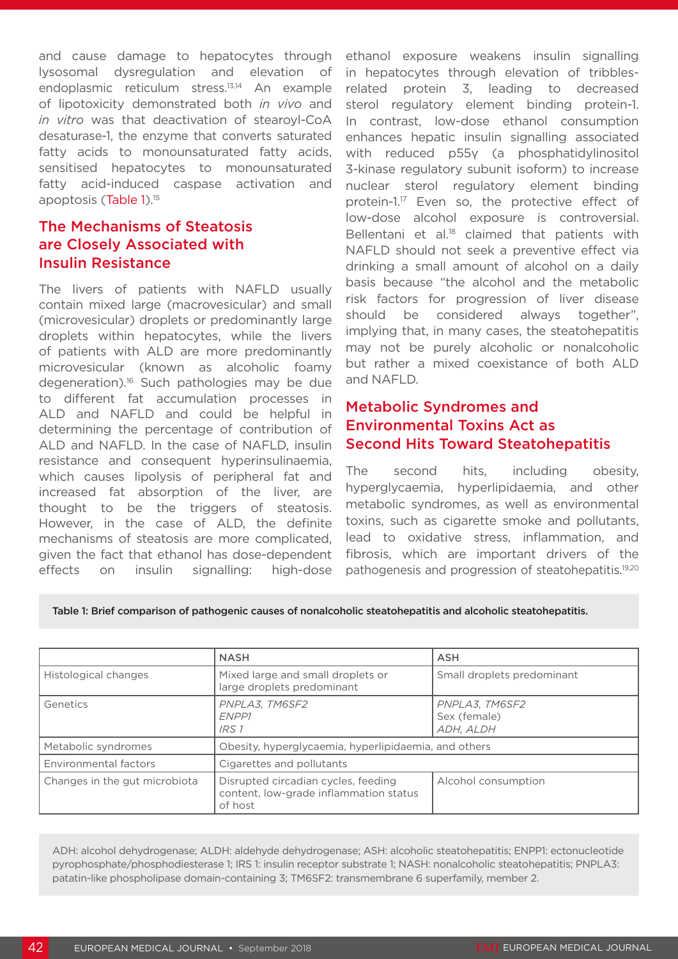and cause damage to hepatocytes through lysosomal dysregulation and elevation of endoplasmic reticulum stress.13,14 An example of lipotoxicity demonstrated both *in vivo* and *in vitro* was that deactivation of stearoyl-CoA desaturase-1, the enzyme that converts saturated fatty acids to monounsaturated fatty acids, sensitised hepatocytes to monounsaturated fatty acid-induced caspase activation and apoptosis (Table 1).<sup>15</sup>

# The Mechanisms of Steatosis are Closely Associated with Insulin Resistance

The livers of patients with NAFLD usually contain mixed large (macrovesicular) and small (microvesicular) droplets or predominantly large droplets within hepatocytes, while the livers of patients with ALD are more predominantly microvesicular (known as alcoholic foamy degeneration).16 Such pathologies may be due to different fat accumulation processes in ALD and NAFLD and could be helpful in determining the percentage of contribution of ALD and NAFLD. In the case of NAFLD, insulin resistance and consequent hyperinsulinaemia, which causes lipolysis of peripheral fat and increased fat absorption of the liver, are thought to be the triggers of steatosis. However, in the case of ALD, the definite mechanisms of steatosis are more complicated, given the fact that ethanol has dose-dependent effects on insulin signalling: high-dose

ethanol exposure weakens insulin signalling in hepatocytes through elevation of tribblesrelated protein 3, leading to decreased sterol regulatory element binding protein-1. In contrast, low-dose ethanol consumption enhances hepatic insulin signalling associated with reduced p55γ (a phosphatidylinositol 3-kinase regulatory subunit isoform) to increase nuclear sterol regulatory element binding protein-1.<sup>17</sup> Even so, the protective effect of low-dose alcohol exposure is controversial. Bellentani et al.<sup>18</sup> claimed that patients with NAFLD should not seek a preventive effect via drinking a small amount of alcohol on a daily basis because "the alcohol and the metabolic risk factors for progression of liver disease should be considered always together", implying that, in many cases, the steatohepatitis may not be purely alcoholic or nonalcoholic but rather a mixed coexistance of both ALD and NAFLD.

# Metabolic Syndromes and Environmental Toxins Act as Second Hits Toward Steatohepatitis

The second hits, including obesity, hyperglycaemia, hyperlipidaemia, and other metabolic syndromes, as well as environmental toxins, such as cigarette smoke and pollutants, lead to oxidative stress, inflammation, and fibrosis, which are important drivers of the pathogenesis and progression of steatohepatitis.19,20

Table 1: Brief comparison of pathogenic causes of nonalcoholic steatohepatitis and alcoholic steatohepatitis.

|                               | <b>NASH</b>                                                                              | <b>ASH</b>                                  |  |  |
|-------------------------------|------------------------------------------------------------------------------------------|---------------------------------------------|--|--|
| Histological changes          | Mixed large and small droplets or<br>large droplets predominant                          | Small droplets predominant                  |  |  |
| Genetics                      | PNPLA3, TM6SF2<br><b>ENPP1</b><br>IRS <sub>1</sub>                                       | PNPLA3, TM6SF2<br>Sex (female)<br>ADH, ALDH |  |  |
| Metabolic syndromes           | Obesity, hyperglycaemia, hyperlipidaemia, and others                                     |                                             |  |  |
| Environmental factors         | Cigarettes and pollutants                                                                |                                             |  |  |
| Changes in the gut microbiota | Disrupted circadian cycles, feeding<br>content, low-grade inflammation status<br>of host | Alcohol consumption                         |  |  |

ADH: alcohol dehydrogenase; ALDH: aldehyde dehydrogenase; ASH: alcoholic steatohepatitis; ENPP1: ectonucleotide pyrophosphate/phosphodiesterase 1; IRS 1: insulin receptor substrate 1; NASH: nonalcoholic steatohepatitis; PNPLA3: patatin-like phospholipase domain-containing 3; TM6SF2: transmembrane 6 superfamily, member 2.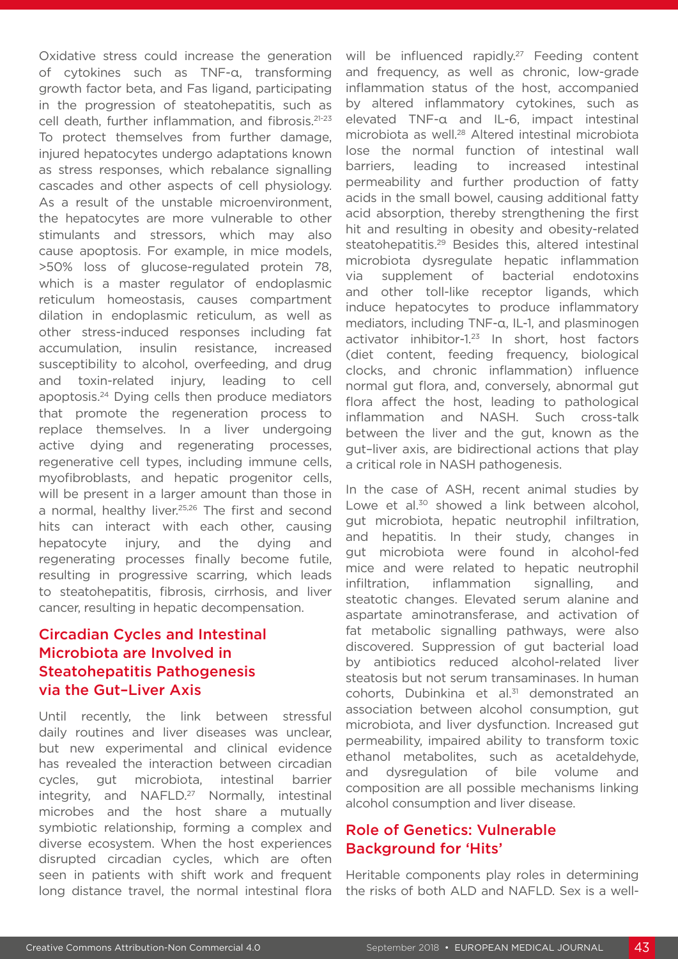Oxidative stress could increase the generation of cytokines such as TNF-α, transforming growth factor beta, and Fas ligand, participating in the progression of steatohepatitis, such as cell death, further inflammation, and fibrosis.21-23 To protect themselves from further damage, injured hepatocytes undergo adaptations known as stress responses, which rebalance signalling cascades and other aspects of cell physiology. As a result of the unstable microenvironment, the hepatocytes are more vulnerable to other stimulants and stressors, which may also cause apoptosis. For example, in mice models, >50% loss of glucose-regulated protein 78, which is a master regulator of endoplasmic reticulum homeostasis, causes compartment dilation in endoplasmic reticulum, as well as other stress-induced responses including fat accumulation, insulin resistance, increased susceptibility to alcohol, overfeeding, and drug and toxin-related injury, leading to cell apoptosis.24 Dying cells then produce mediators that promote the regeneration process to replace themselves. In a liver undergoing active dying and regenerating processes, regenerative cell types, including immune cells, myofibroblasts, and hepatic progenitor cells, will be present in a larger amount than those in a normal, healthy liver.<sup>25,26</sup> The first and second hits can interact with each other, causing hepatocyte injury, and the dying and regenerating processes finally become futile, resulting in progressive scarring, which leads to steatohepatitis, fibrosis, cirrhosis, and liver cancer, resulting in hepatic decompensation.

### Circadian Cycles and Intestinal Microbiota are Involved in Steatohepatitis Pathogenesis via the Gut–Liver Axis

Until recently, the link between stressful daily routines and liver diseases was unclear, but new experimental and clinical evidence has revealed the interaction between circadian cycles, gut microbiota, intestinal barrier integrity, and NAFLD.<sup>27</sup> Normally, intestinal microbes and the host share a mutually symbiotic relationship, forming a complex and diverse ecosystem. When the host experiences disrupted circadian cycles, which are often seen in patients with shift work and frequent long distance travel, the normal intestinal flora

will be influenced rapidly.<sup>27</sup> Feeding content and frequency, as well as chronic, low-grade inflammation status of the host, accompanied by altered inflammatory cytokines, such as elevated TNF-α and IL-6, impact intestinal microbiota as well.<sup>28</sup> Altered intestinal microbiota lose the normal function of intestinal wall barriers, leading to increased intestinal permeability and further production of fatty acids in the small bowel, causing additional fatty acid absorption, thereby strengthening the first hit and resulting in obesity and obesity-related steatohepatitis.29 Besides this, altered intestinal microbiota dysregulate hepatic inflammation via supplement of bacterial endotoxins and other toll-like receptor ligands, which induce hepatocytes to produce inflammatory mediators, including TNF-α, IL-1, and plasminogen activator inhibitor-1.23 In short, host factors (diet content, feeding frequency, biological clocks, and chronic inflammation) influence normal gut flora, and, conversely, abnormal gut flora affect the host, leading to pathological inflammation and NASH. Such cross-talk between the liver and the gut, known as the gut–liver axis, are bidirectional actions that play a critical role in NASH pathogenesis.

In the case of ASH, recent animal studies by Lowe et al.<sup>30</sup> showed a link between alcohol, gut microbiota, hepatic neutrophil infiltration, and hepatitis. In their study, changes in gut microbiota were found in alcohol-fed mice and were related to hepatic neutrophil infiltration, inflammation signalling, and steatotic changes. Elevated serum alanine and aspartate aminotransferase, and activation of fat metabolic signalling pathways, were also discovered. Suppression of gut bacterial load by antibiotics reduced alcohol-related liver steatosis but not serum transaminases. In human cohorts. Dubinkina et al.<sup>31</sup> demonstrated an association between alcohol consumption, gut microbiota, and liver dysfunction. Increased gut permeability, impaired ability to transform toxic ethanol metabolites, such as acetaldehyde, and dysregulation of bile volume and composition are all possible mechanisms linking alcohol consumption and liver disease.

#### Role of Genetics: Vulnerable Background for 'Hits'

Heritable components play roles in determining the risks of both ALD and NAFLD. Sex is a well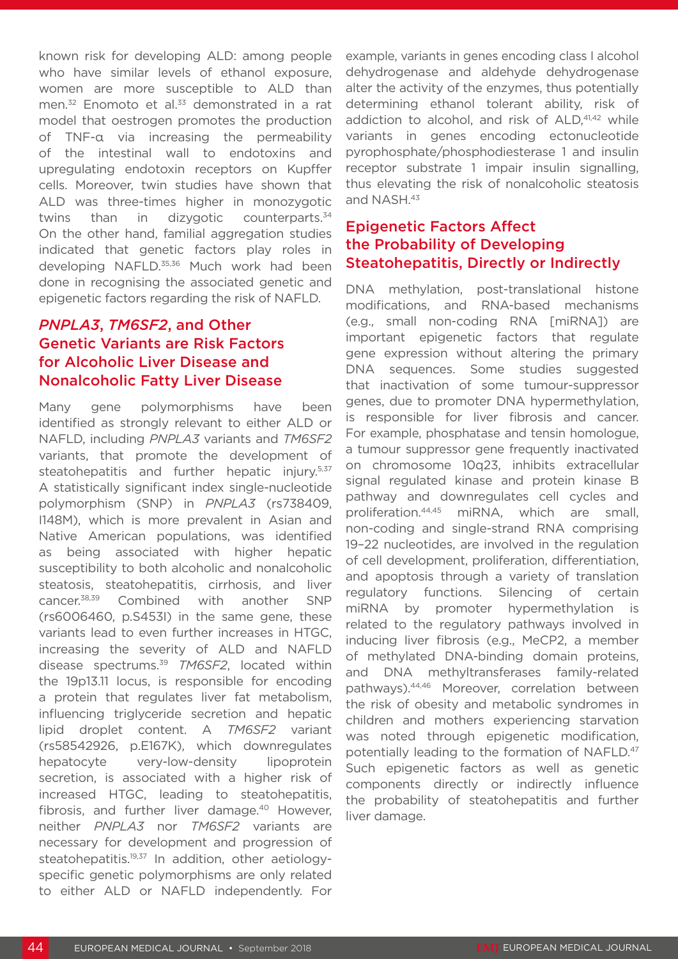known risk for developing ALD: among people who have similar levels of ethanol exposure, women are more susceptible to ALD than men.<sup>32</sup> Enomoto et al.<sup>33</sup> demonstrated in a rat model that oestrogen promotes the production of TNF-α via increasing the permeability of the intestinal wall to endotoxins and upregulating endotoxin receptors on Kupffer cells. Moreover, twin studies have shown that ALD was three-times higher in monozygotic twins than in dizygotic counterparts.<sup>34</sup> On the other hand, familial aggregation studies indicated that genetic factors play roles in developing NAFLD.<sup>35,36</sup> Much work had been done in recognising the associated genetic and epigenetic factors regarding the risk of NAFLD.

# *PNPLA3*, *TM6SF2*, and Other Genetic Variants are Risk Factors for Alcoholic Liver Disease and Nonalcoholic Fatty Liver Disease

Many gene polymorphisms have been identified as strongly relevant to either ALD or NAFLD, including *PNPLA3* variants and *TM6SF2* variants, that promote the development of steatohepatitis and further hepatic injury.<sup>5,37</sup> A statistically significant index single-nucleotide polymorphism (SNP) in *PNPLA3* (rs738409, I148M), which is more prevalent in Asian and Native American populations, was identified as being associated with higher hepatic susceptibility to both alcoholic and nonalcoholic steatosis, steatohepatitis, cirrhosis, and liver cancer.38,39 Combined with another SNP (rs6006460, p.S453I) in the same gene, these variants lead to even further increases in HTGC, increasing the severity of ALD and NAFLD disease spectrums.39 *TM6SF2*, located within the 19p13.11 locus, is responsible for encoding a protein that regulates liver fat metabolism, influencing triglyceride secretion and hepatic lipid droplet content. A *TM6SF2* variant (rs58542926, p.E167K), which downregulates hepatocyte very-low-density lipoprotein secretion, is associated with a higher risk of increased HTGC, leading to steatohepatitis, fibrosis, and further liver damage.<sup>40</sup> However, neither *PNPLA3* nor *TM6SF2* variants are necessary for development and progression of steatohepatitis.<sup>19,37</sup> In addition, other aetiologyspecific genetic polymorphisms are only related to either ALD or NAFLD independently. For

example, variants in genes encoding class I alcohol dehydrogenase and aldehyde dehydrogenase alter the activity of the enzymes, thus potentially determining ethanol tolerant ability, risk of addiction to alcohol, and risk of ALD, 41,42 while variants in genes encoding ectonucleotide pyrophosphate/phosphodiesterase 1 and insulin receptor substrate 1 impair insulin signalling, thus elevating the risk of nonalcoholic steatosis and NASH.43

# Epigenetic Factors Affect the Probability of Developing Steatohepatitis, Directly or Indirectly

DNA methylation, post-translational histone modifications, and RNA-based mechanisms (e.g., small non-coding RNA [miRNA]) are important epigenetic factors that regulate gene expression without altering the primary DNA sequences. Some studies suggested that inactivation of some tumour-suppressor genes, due to promoter DNA hypermethylation, is responsible for liver fibrosis and cancer. For example, phosphatase and tensin homologue, a tumour suppressor gene frequently inactivated on chromosome 10q23, inhibits extracellular signal regulated kinase and protein kinase B pathway and downregulates cell cycles and proliferation.44,45 miRNA, which are small, non-coding and single-strand RNA comprising 19–22 nucleotides, are involved in the regulation of cell development, proliferation, differentiation, and apoptosis through a variety of translation regulatory functions. Silencing of certain miRNA by promoter hypermethylation is related to the regulatory pathways involved in inducing liver fibrosis (e.g., MeCP2, a member of methylated DNA-binding domain proteins, and DNA methyltransferases family-related pathways).44,46 Moreover, correlation between the risk of obesity and metabolic syndromes in children and mothers experiencing starvation was noted through epigenetic modification, potentially leading to the formation of NAFLD.<sup>47</sup> Such epigenetic factors as well as genetic components directly or indirectly influence the probability of steatohepatitis and further liver damage.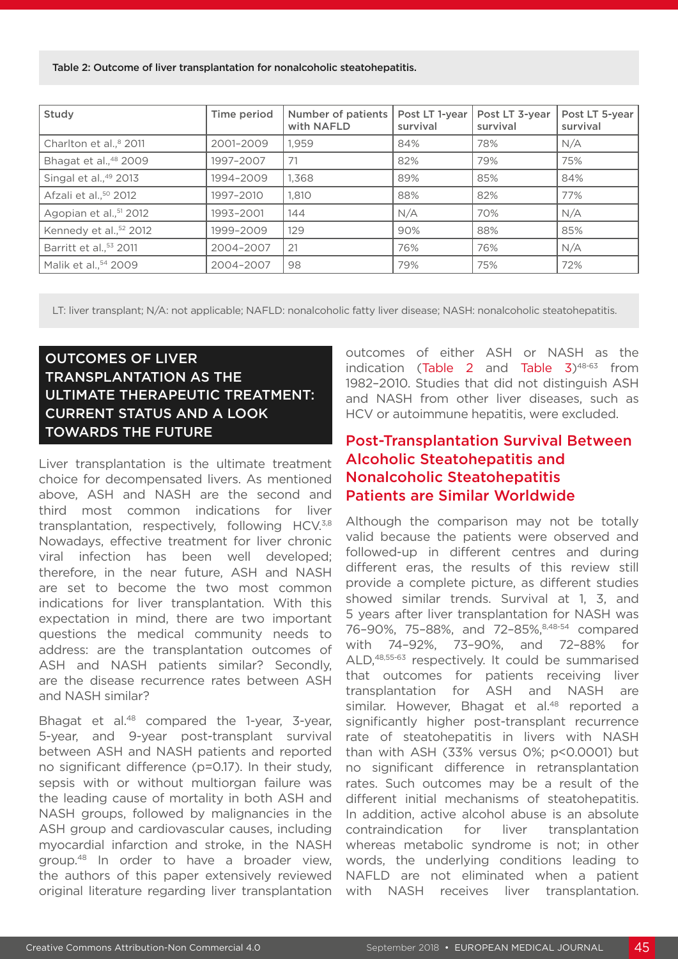Table 2: Outcome of liver transplantation for nonalcoholic steatohepatitis.

| Study                              | Time period | Number of patients<br>with NAFLD | Post LT 1-year<br>survival | Post LT 3-year<br>survival | Post LT 5-year<br>survival |
|------------------------------------|-------------|----------------------------------|----------------------------|----------------------------|----------------------------|
| Charlton et al., <sup>8</sup> 2011 | 2001-2009   | 1.959                            | 84%                        | 78%                        | N/A                        |
| Bhagat et al., <sup>48</sup> 2009  | 1997-2007   | 71                               | 82%                        | 79%                        | 75%                        |
| Singal et al., <sup>49</sup> 2013  | 1994-2009   | 1,368                            | 89%                        | 85%                        | 84%                        |
| Afzali et al., <sup>50</sup> 2012  | 1997-2010   | 1,810                            | 88%                        | 82%                        | 77%                        |
| Agopian et al., <sup>51</sup> 2012 | 1993-2001   | 144                              | N/A                        | 70%                        | N/A                        |
| Kennedy et al., <sup>52</sup> 2012 | 1999-2009   | 129                              | 90%                        | 88%                        | 85%                        |
| Barritt et al., 53 2011            | 2004-2007   | 21                               | 76%                        | 76%                        | N/A                        |
| Malik et al., 54 2009              | 2004-2007   | 98                               | 79%                        | 75%                        | 72%                        |

LT: liver transplant; N/A: not applicable; NAFLD: nonalcoholic fatty liver disease; NASH: nonalcoholic steatohepatitis.

#### OUTCOMES OF LIVER TRANSPLANTATION AS THE ULTIMATE THERAPEUTIC TREATMENT: CURRENT STATUS AND A LOOK TOWARDS THE FUTURE

Liver transplantation is the ultimate treatment choice for decompensated livers. As mentioned above, ASH and NASH are the second and third most common indications for liver transplantation, respectively, following HCV.3,8 Nowadays, effective treatment for liver chronic viral infection has been well developed; therefore, in the near future, ASH and NASH are set to become the two most common indications for liver transplantation. With this expectation in mind, there are two important questions the medical community needs to address: are the transplantation outcomes of ASH and NASH patients similar? Secondly, are the disease recurrence rates between ASH and NASH similar?

Bhagat et al.48 compared the 1-year, 3-year, 5-year, and 9-year post-transplant survival between ASH and NASH patients and reported no significant difference (p=0.17). In their study, sepsis with or without multiorgan failure was the leading cause of mortality in both ASH and NASH groups, followed by malignancies in the ASH group and cardiovascular causes, including myocardial infarction and stroke, in the NASH group.48 In order to have a broader view, the authors of this paper extensively reviewed original literature regarding liver transplantation

outcomes of either ASH or NASH as the indication (Table 2 and Table  $3)^{48-63}$  from 1982–2010. Studies that did not distinguish ASH and NASH from other liver diseases, such as HCV or autoimmune hepatitis, were excluded.

### Post-Transplantation Survival Between Alcoholic Steatohepatitis and Nonalcoholic Steatohepatitis Patients are Similar Worldwide

Although the comparison may not be totally valid because the patients were observed and followed-up in different centres and during different eras, the results of this review still provide a complete picture, as different studies showed similar trends. Survival at 1, 3, and 5 years after liver transplantation for NASH was 76-90%, 75-88%, and 72-85%,<sup>8,48-54</sup> compared with 74–92%, 73–90%, and 72–88% for ALD,48,55-63 respectively. It could be summarised that outcomes for patients receiving liver transplantation for ASH and NASH are similar. However, Bhagat et al.<sup>48</sup> reported a significantly higher post-transplant recurrence rate of steatohepatitis in livers with NASH than with ASH (33% versus 0%; p<0.0001) but no significant difference in retransplantation rates. Such outcomes may be a result of the different initial mechanisms of steatohepatitis. In addition, active alcohol abuse is an absolute contraindication for liver transplantation whereas metabolic syndrome is not; in other words, the underlying conditions leading to NAFLD are not eliminated when a patient with NASH receives liver transplantation.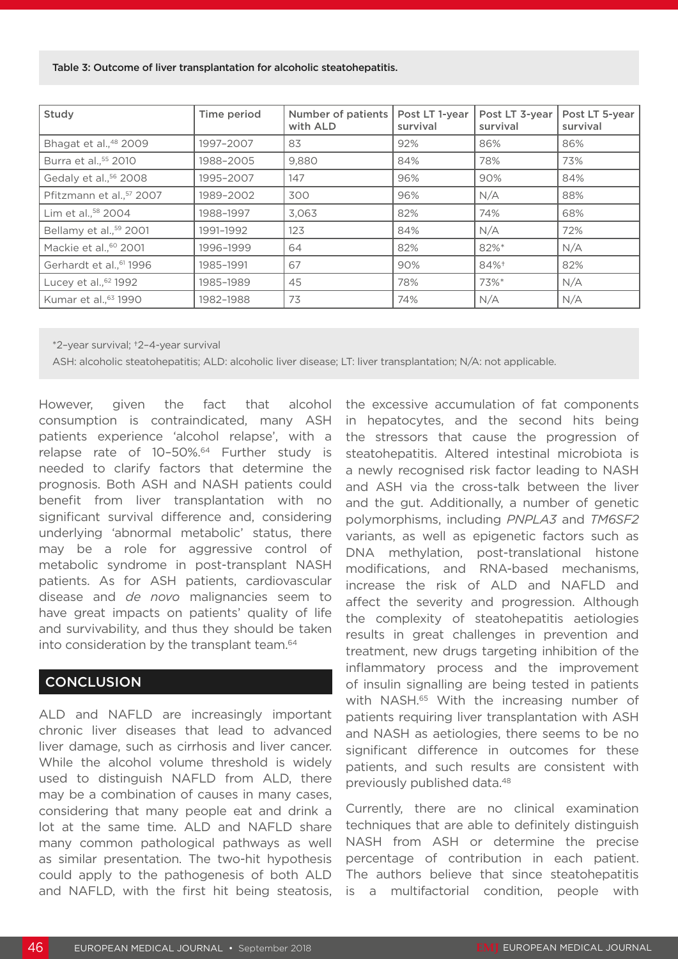Table 3: Outcome of liver transplantation for alcoholic steatohepatitis.

| Study                                | Time period | Number of patients<br>with ALD | Post LT 1-year<br>survival | Post LT 3-year<br>survival | Post LT 5-year<br>survival |
|--------------------------------------|-------------|--------------------------------|----------------------------|----------------------------|----------------------------|
| Bhagat et al., <sup>48</sup> 2009    | 1997-2007   | 83                             | 92%                        | 86%                        | 86%                        |
| Burra et al., 55 2010                | 1988-2005   | 9,880                          | 84%                        | 78%                        | 73%                        |
| Gedaly et al., 56 2008               | 1995-2007   | 147                            | 96%                        | 90%                        | 84%                        |
| Pfitzmann et al., <sup>57</sup> 2007 | 1989-2002   | 300                            | 96%                        | N/A                        | 88%                        |
| Lim et al., <sup>58</sup> 2004       | 1988-1997   | 3.063                          | 82%                        | 74%                        | 68%                        |
| Bellamy et al., <sup>59</sup> 2001   | 1991-1992   | 123                            | 84%                        | N/A                        | 72%                        |
| Mackie et al., <sup>60</sup> 2001    | 1996-1999   | 64                             | 82%                        | 82%*                       | N/A                        |
| Gerhardt et al., <sup>61</sup> 1996  | 1985-1991   | 67                             | 90%                        | 84%+                       | 82%                        |
| Lucey et al., <sup>62</sup> 1992     | 1985-1989   | 45                             | 78%                        | 73%*                       | N/A                        |
| Kumar et al., <sup>63</sup> 1990     | 1982-1988   | 73                             | 74%                        | N/A                        | N/A                        |

\*2–year survival; †2–4-year survival

ASH: alcoholic steatohepatitis; ALD: alcoholic liver disease; LT: liver transplantation; N/A: not applicable.

However, given the fact that alcohol consumption is contraindicated, many ASH patients experience 'alcohol relapse', with a relapse rate of 10–50%.64 Further study is needed to clarify factors that determine the prognosis. Both ASH and NASH patients could benefit from liver transplantation with no significant survival difference and, considering underlying 'abnormal metabolic' status, there may be a role for aggressive control of metabolic syndrome in post-transplant NASH patients. As for ASH patients, cardiovascular disease and *de novo* malignancies seem to have great impacts on patients' quality of life and survivability, and thus they should be taken into consideration by the transplant team.<sup>64</sup>

#### **CONCLUSION**

ALD and NAFLD are increasingly important chronic liver diseases that lead to advanced liver damage, such as cirrhosis and liver cancer. While the alcohol volume threshold is widely used to distinguish NAFLD from ALD, there may be a combination of causes in many cases, considering that many people eat and drink a lot at the same time. ALD and NAFLD share many common pathological pathways as well as similar presentation. The two-hit hypothesis could apply to the pathogenesis of both ALD and NAFLD, with the first hit being steatosis,

the excessive accumulation of fat components in hepatocytes, and the second hits being the stressors that cause the progression of steatohepatitis. Altered intestinal microbiota is a newly recognised risk factor leading to NASH and ASH via the cross-talk between the liver and the gut. Additionally, a number of genetic polymorphisms, including *PNPLA3* and *TM6SF2* variants, as well as epigenetic factors such as DNA methylation, post-translational histone modifications, and RNA-based mechanisms, increase the risk of ALD and NAFLD and affect the severity and progression. Although the complexity of steatohepatitis aetiologies results in great challenges in prevention and treatment, new drugs targeting inhibition of the inflammatory process and the improvement of insulin signalling are being tested in patients with NASH.<sup>65</sup> With the increasing number of patients requiring liver transplantation with ASH and NASH as aetiologies, there seems to be no significant difference in outcomes for these patients, and such results are consistent with previously published data.48

Currently, there are no clinical examination techniques that are able to definitely distinguish NASH from ASH or determine the precise percentage of contribution in each patient. The authors believe that since steatohepatitis a multifactorial condition, people with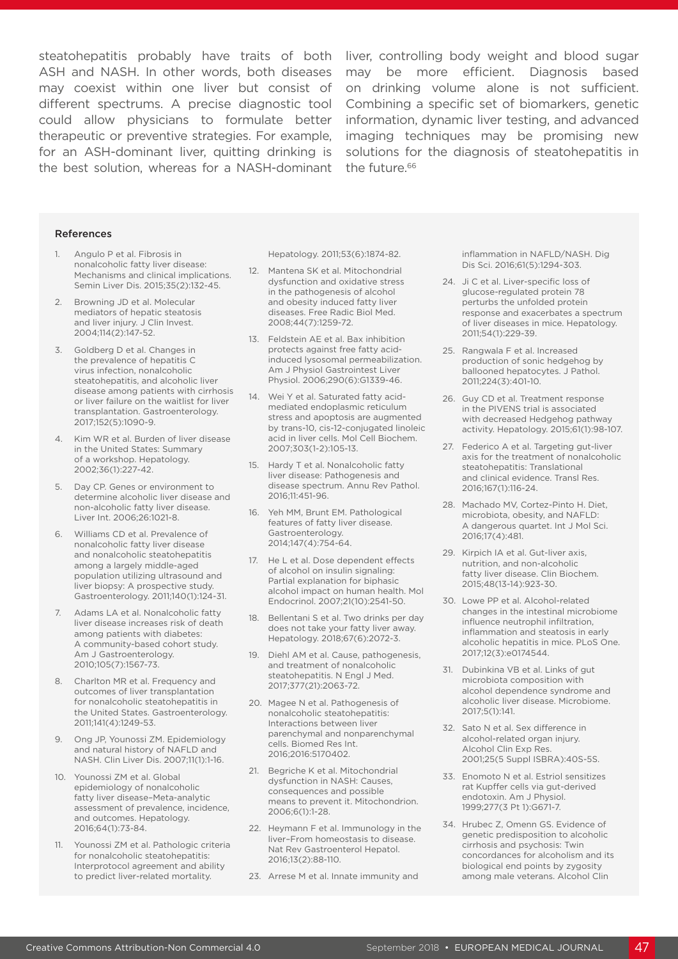therapeutic or preventive strategies. For example, for an ASH-dominant liver, quitting drinking is the best solution, whereas for a NASH-dominant

steatohepatitis probably have traits of both liver, controlling body weight and blood sugar ASH and NASH. In other words, both diseases may be more efficient. Diagnosis based may coexist within one liver but consist of on drinking volume alone is not sufficient. different spectrums. A precise diagnostic tool Combining a specific set of biomarkers, genetic could allow physicians to formulate better information, dynamic liver testing, and advanced imaging techniques may be promising new solutions for the diagnosis of steatohepatitis in the future.<sup>66</sup>

#### References

- Angulo P et al. Fibrosis in nonalcoholic fatty liver disease: Mechanisms and clinical implications. Semin Liver Dis. 2015;35(2):132-45.
- 2. Browning JD et al. Molecular mediators of hepatic steatosis and liver injury. J Clin Invest. 2004;114(2):147-52.
- 3. Goldberg D et al. Changes in the prevalence of hepatitis C virus infection, nonalcoholic steatohepatitis, and alcoholic liver disease among patients with cirrhosis or liver failure on the waitlist for liver transplantation. Gastroenterology. 2017;152(5):1090-9.
- 4. Kim WR et al. Burden of liver disease in the United States: Summary of a workshop. Hepatology. 2002;36(1):227-42.
- 5. Day CP. Genes or environment to determine alcoholic liver disease and non-alcoholic fatty liver disease. Liver Int. 2006;26:1021-8.
- 6. Williams CD et al. Prevalence of nonalcoholic fatty liver disease and nonalcoholic steatohepatitis among a largely middle-aged population utilizing ultrasound and liver biopsy: A prospective study. Gastroenterology. 2011;140(1):124-31.
- 7. Adams LA et al. Nonalcoholic fatty liver disease increases risk of death among patients with diabetes: A community-based cohort study. Am J Gastroenterology. 2010;105(7):1567-73.
- 8. Charlton MR et al. Frequency and outcomes of liver transplantation for nonalcoholic steatohepatitis in the United States. Gastroenterology. 2011;141(4):1249-53.
- 9. Ong JP, Younossi ZM. Epidemiology and natural history of NAFLD and NASH. Clin Liver Dis. 2007;11(1):1-16.
- 10. Younossi ZM et al. Global epidemiology of nonalcoholic fatty liver disease–Meta-analytic assessment of prevalence, incidence, and outcomes. Hepatology. 2016;64(1):73-84.
- 11. Younossi ZM et al. Pathologic criteria for nonalcoholic steatohepatitis: Interprotocol agreement and ability to predict liver-related mortality.

Hepatology. 2011;53(6):1874-82.

- 12. Mantena SK et al. Mitochondrial dysfunction and oxidative stress in the pathogenesis of alcohol and obesity induced fatty liver diseases. Free Radic Biol Med. 2008;44(7):1259-72.
- 13. Feldstein AE et al. Bax inhibition protects against free fatty acidinduced lysosomal permeabilization. Am J Physiol Gastrointest Liver Physiol. 2006;290(6):G1339-46.
- 14. Wei Y et al. Saturated fatty acidmediated endoplasmic reticulum stress and apoptosis are augmented by trans-10, cis-12-conjugated linoleic acid in liver cells. Mol Cell Biochem. 2007;303(1-2):105-13.
- 15. Hardy T et al. Nonalcoholic fatty liver disease: Pathogenesis and disease spectrum. Annu Rev Pathol. 2016;11:451-96.
- 16. Yeh MM, Brunt EM. Pathological features of fatty liver disease. Gastroenterology. 2014;147(4):754-64.
- 17. He L et al. Dose dependent effects of alcohol on insulin signaling: Partial explanation for biphasic alcohol impact on human health. Mol Endocrinol. 2007;21(10):2541-50.
- 18. Bellentani S et al. Two drinks per day does not take your fatty liver away. Hepatology. 2018;67(6):2072-3.
- 19. Diehl AM et al. Cause, pathogenesis, and treatment of nonalcoholic steatohepatitis. N Engl J Med. 2017;377(21):2063-72.
- 20. Magee N et al. Pathogenesis of nonalcoholic steatohepatitis: Interactions between liver parenchymal and nonparenchymal cells. Biomed Res Int. 2016;2016:5170402.
- 21. Begriche K et al. Mitochondrial dysfunction in NASH: Causes, consequences and possible means to prevent it. Mitochondrion. 2006;6(1):1-28.
- 22. Heymann F et al. Immunology in the liver–From homeostasis to disease. Nat Rev Gastroenterol Hepatol. 2016;13(2):88-110.
- 23. Arrese M et al. Innate immunity and

inflammation in NAFLD/NASH. Dig Dis Sci. 2016;61(5):1294-303.

- 24. Ji C et al. Liver-specific loss of glucose-regulated protein 78 perturbs the unfolded protein response and exacerbates a spectrum of liver diseases in mice. Hepatology. 2011;54(1):229-39.
- 25. Rangwala F et al. Increased production of sonic hedgehog by ballooned hepatocytes. J Pathol. 2011;224(3):401-10.
- 26. Guy CD et al. Treatment response in the PIVENS trial is associated with decreased Hedgehog pathway activity. Hepatology. 2015;61(1):98-107.
- 27. Federico A et al. Targeting gut-liver axis for the treatment of nonalcoholic steatohepatitis: Translational and clinical evidence. Transl Res. 2016;167(1):116-24.
- 28. Machado MV, Cortez-Pinto H. Diet, microbiota, obesity, and NAFLD: A dangerous quartet. Int J Mol Sci. 2016;17(4):481.
- 29. Kirpich IA et al. Gut-liver axis, nutrition, and non-alcoholic fatty liver disease. Clin Biochem. 2015;48(13-14):923-30.
- 30. Lowe PP et al. Alcohol-related changes in the intestinal microbiome influence neutrophil infiltration, inflammation and steatosis in early alcoholic hepatitis in mice. PLoS One. 2017;12(3):e0174544.
- 31. Dubinkina VB et al. Links of gut microbiota composition with alcohol dependence syndrome and alcoholic liver disease. Microbiome. 2017;5(1):141.
- 32. Sato N et al. Sex difference in alcohol-related organ injury. Alcohol Clin Exp Res. 2001;25(5 Suppl ISBRA):40S-5S.
- 33. Enomoto N et al. Estriol sensitizes rat Kupffer cells via gut-derived endotoxin. Am J Physiol. 1999;277(3 Pt 1):G671-7.
- 34. Hrubec Z, Omenn GS. Evidence of genetic predisposition to alcoholic cirrhosis and psychosis: Twin concordances for alcoholism and its biological end points by zygosity among male veterans. Alcohol Clin